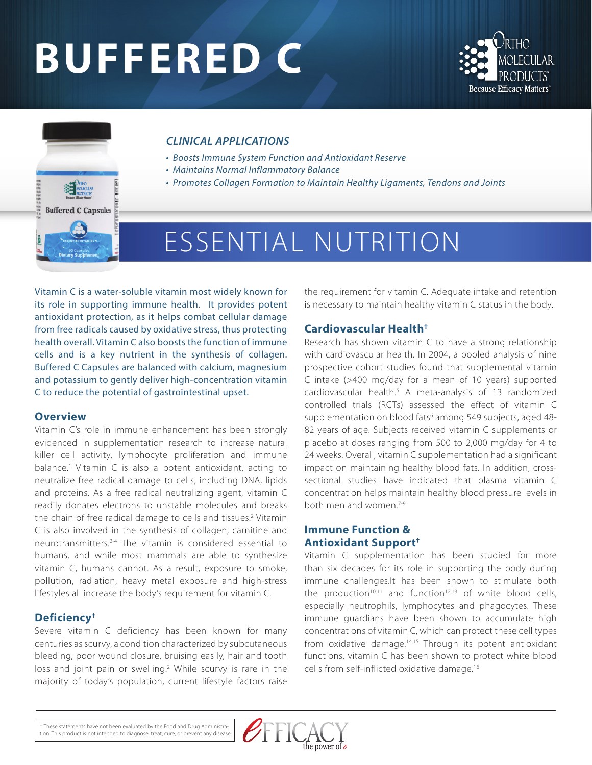# **BUFFERED C**





#### *CLINICAL APPLICATIONS*

- *Boosts Immune System Function and Antioxidant Reserve*
- *Maintains Normal Inflammatory Balance*
- *Promotes Collagen Formation to Maintain Healthy Ligaments, Tendons and Joints*

## ESSENTIAL NUTRITION

Vitamin C is a water-soluble vitamin most widely known for its role in supporting immune health. It provides potent antioxidant protection, as it helps combat cellular damage from free radicals caused by oxidative stress, thus protecting health overall. Vitamin C also boosts the function of immune cells and is a key nutrient in the synthesis of collagen. Buffered C Capsules are balanced with calcium, magnesium and potassium to gently deliver high-concentration vitamin C to reduce the potential of gastrointestinal upset.

#### **Overview**

Vitamin C's role in immune enhancement has been strongly evidenced in supplementation research to increase natural killer cell activity, lymphocyte proliferation and immune balance.<sup>1</sup> Vitamin C is also a potent antioxidant, acting to neutralize free radical damage to cells, including DNA, lipids and proteins. As a free radical neutralizing agent, vitamin C readily donates electrons to unstable molecules and breaks the chain of free radical damage to cells and tissues.<sup>2</sup> Vitamin C is also involved in the synthesis of collagen, carnitine and neurotransmitters.2-4 The vitamin is considered essential to humans, and while most mammals are able to synthesize vitamin C, humans cannot. As a result, exposure to smoke, pollution, radiation, heavy metal exposure and high-stress lifestyles all increase the body's requirement for vitamin C.

#### **Deficiency†**

Severe vitamin C deficiency has been known for many centuries as scurvy, a condition characterized by subcutaneous bleeding, poor wound closure, bruising easily, hair and tooth loss and joint pain or swelling.<sup>2</sup> While scurvy is rare in the majority of today's population, current lifestyle factors raise

the requirement for vitamin C. Adequate intake and retention is necessary to maintain healthy vitamin C status in the body.

#### **Cardiovascular Health†**

Research has shown vitamin C to have a strong relationship with cardiovascular health. In 2004, a pooled analysis of nine prospective cohort studies found that supplemental vitamin C intake (>400 mg/day for a mean of 10 years) supported cardiovascular health.5 A meta-analysis of 13 randomized controlled trials (RCTs) assessed the effect of vitamin C supplementation on blood fats<sup>6</sup> among 549 subjects, aged 48-82 years of age. Subjects received vitamin C supplements or placebo at doses ranging from 500 to 2,000 mg/day for 4 to 24 weeks. Overall, vitamin C supplementation had a significant impact on maintaining healthy blood fats. In addition, crosssectional studies have indicated that plasma vitamin C concentration helps maintain healthy blood pressure levels in both men and women.7-9

#### **Immune Function & Antioxidant Support†**

Vitamin C supplementation has been studied for more than six decades for its role in supporting the body during immune challenges.It has been shown to stimulate both the production<sup>10,11</sup> and function<sup>12,13</sup> of white blood cells, especially neutrophils, lymphocytes and phagocytes. These immune guardians have been shown to accumulate high concentrations of vitamin C, which can protect these cell types from oxidative damage.14,15 Through its potent antioxidant functions, vitamin C has been shown to protect white blood cells from self-inflicted oxidative damage.16

† These statements have not been evaluated by the Food and Drug Administration. This product is not intended to diagnose, treat, cure, or prevent any disease.

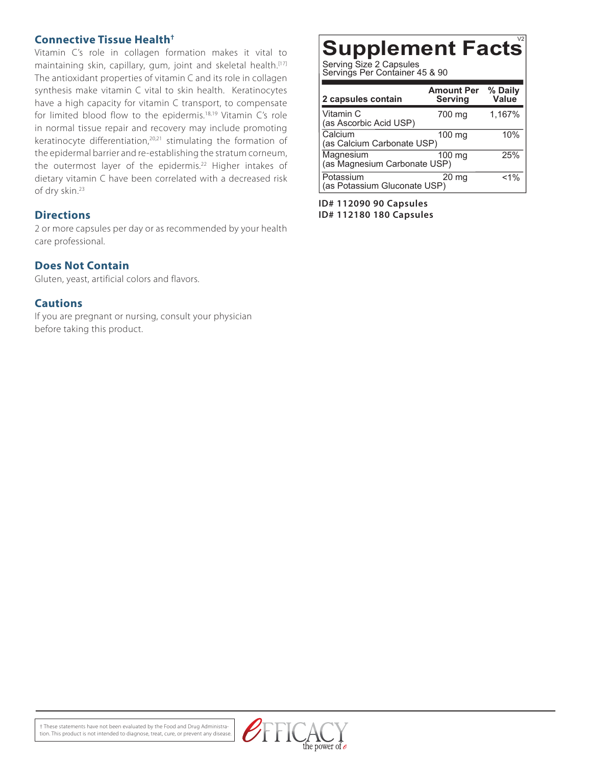#### **Connective Tissue Health†**

Vitamin C's role in collagen formation makes it vital to maintaining skin, capillary, gum, joint and skeletal health.<sup>[17]</sup> The antioxidant properties of vitamin C and its role in collagen synthesis make vitamin C vital to skin health. Keratinocytes have a high capacity for vitamin C transport, to compensate for limited blood flow to the epidermis.18,19 Vitamin C's role in normal tissue repair and recovery may include promoting keratinocyte differentiation,<sup>20,21</sup> stimulating the formation of the epidermal barrier and re-establishing the stratum corneum, the outermost layer of the epidermis.<sup>22</sup> Higher intakes of dietary vitamin C have been correlated with a decreased risk of dry skin.23

#### **Directions**

2 or more capsules per day or as recommended by your health care professional.

#### **Does Not Contain**

Gluten, yeast, artificial colors and flavors.

#### **Cautions**

If you are pregnant or nursing, consult your physician before taking this product.

### **Supplement Facts**

Serving Size 2 Capsules Servings Per Container 45 & 90

| 2 capsules contain                        | <b>Amount Per</b><br><b>Serving</b> | % Daily<br>Value |
|-------------------------------------------|-------------------------------------|------------------|
| Vitamin C<br>(as Ascorbic Acid USP)       | 700 mg                              | 1,167%           |
| Calcium<br>(as Calcium Carbonate USP)     | 100 mg                              | 10%              |
| Magnesium<br>(as Magnesium Carbonate USP) | 100 mg                              | 25%              |
| Potassium<br>(as Potassium Gluconate USP) | 20 <sub>mg</sub>                    | $< 1\%$          |

**ID# 112090 90 Capsules ID# 112180 180 Capsules**